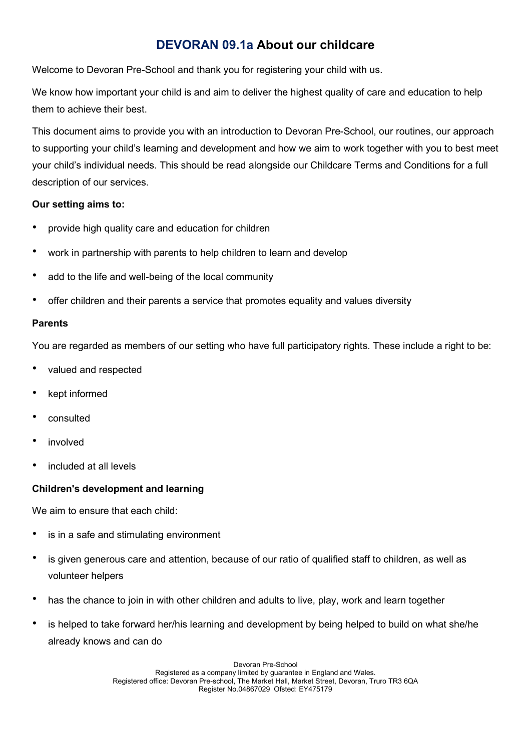# DEVORAN 09.1a About our childcare

Welcome to Devoran Pre-School and thank you for registering your child with us.

We know how important your child is and aim to deliver the highest quality of care and education to help them to achieve their best.

This document aims to provide you with an introduction to Devoran Pre-School, our routines, our approach to supporting your child's learning and development and how we aim to work together with you to best meet your child's individual needs. This should be read alongside our Childcare Terms and Conditions for a full description of our services.

### Our setting aims to:

- provide high quality care and education for children
- work in partnership with parents to help children to learn and develop
- add to the life and well-being of the local community
- offer children and their parents a service that promotes equality and values diversity

# Parents

You are regarded as members of our setting who have full participatory rights. These include a right to be:

- valued and respected
- kept informed
- consulted
- involved
- included at all levels

# Children's development and learning

We aim to ensure that each child:

- is in a safe and stimulating environment
- is given generous care and attention, because of our ratio of qualified staff to children, as well as volunteer helpers
- has the chance to join in with other children and adults to live, play, work and learn together
- is helped to take forward her/his learning and development by being helped to build on what she/he already knows and can do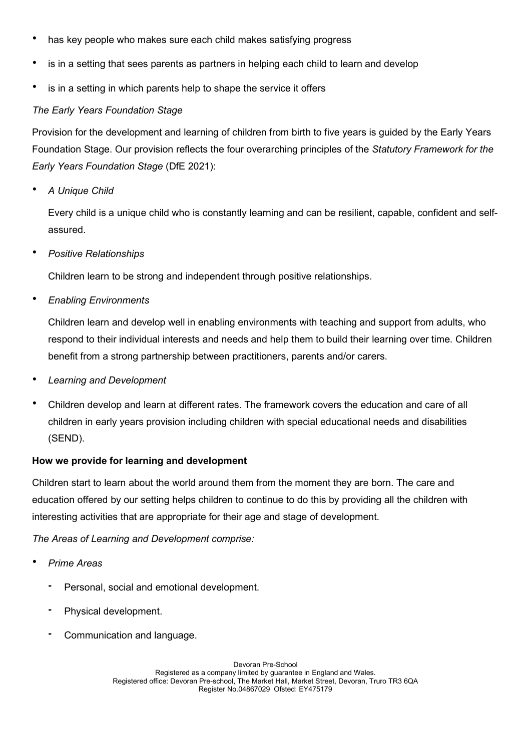- has key people who makes sure each child makes satisfying progress
- is in a setting that sees parents as partners in helping each child to learn and develop
- is in a setting in which parents help to shape the service it offers

#### The Early Years Foundation Stage

Provision for the development and learning of children from birth to five years is guided by the Early Years Foundation Stage. Our provision reflects the four overarching principles of the Statutory Framework for the Early Years Foundation Stage (DfE 2021):

A Unique Child

Every child is a unique child who is constantly learning and can be resilient, capable, confident and selfassured.

• Positive Relationships

Children learn to be strong and independent through positive relationships.

• Enabling Environments

Children learn and develop well in enabling environments with teaching and support from adults, who respond to their individual interests and needs and help them to build their learning over time. Children benefit from a strong partnership between practitioners, parents and/or carers.

- Learning and Development
- Children develop and learn at different rates. The framework covers the education and care of all children in early years provision including children with special educational needs and disabilities (SEND).

#### How we provide for learning and development

Children start to learn about the world around them from the moment they are born. The care and education offered by our setting helps children to continue to do this by providing all the children with interesting activities that are appropriate for their age and stage of development.

The Areas of Learning and Development comprise:

- Prime Areas
	- Personal, social and emotional development.
	- Physical development.
	- Communication and language.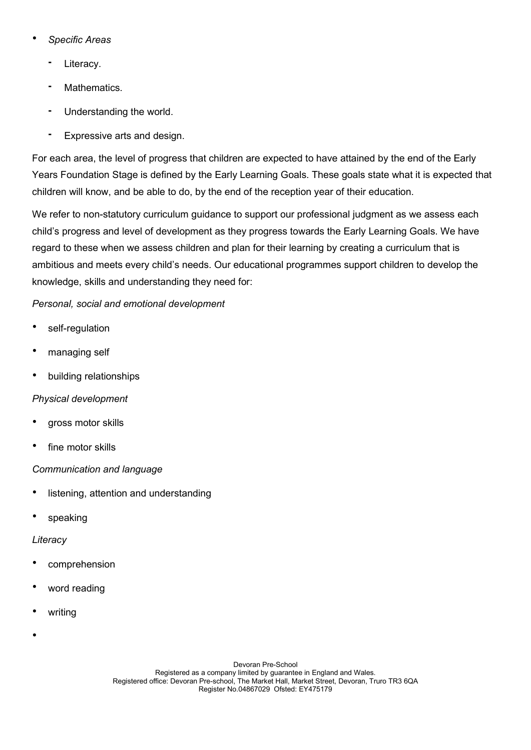- Specific Areas
	- Literacy.
	- Mathematics.
	- Understanding the world.
	- Expressive arts and design.

For each area, the level of progress that children are expected to have attained by the end of the Early Years Foundation Stage is defined by the Early Learning Goals. These goals state what it is expected that children will know, and be able to do, by the end of the reception year of their education.

We refer to non-statutory curriculum quidance to support our professional judgment as we assess each child's progress and level of development as they progress towards the Early Learning Goals. We have regard to these when we assess children and plan for their learning by creating a curriculum that is ambitious and meets every child's needs. Our educational programmes support children to develop the knowledge, skills and understanding they need for:

# Personal, social and emotional development

- self-regulation
- managing self
- building relationships

# Physical development

- gross motor skills
- fine motor skills

# Communication and language

- listening, attention and understanding
- speaking

# **Literacy**

- comprehension
- word reading
- writing
- •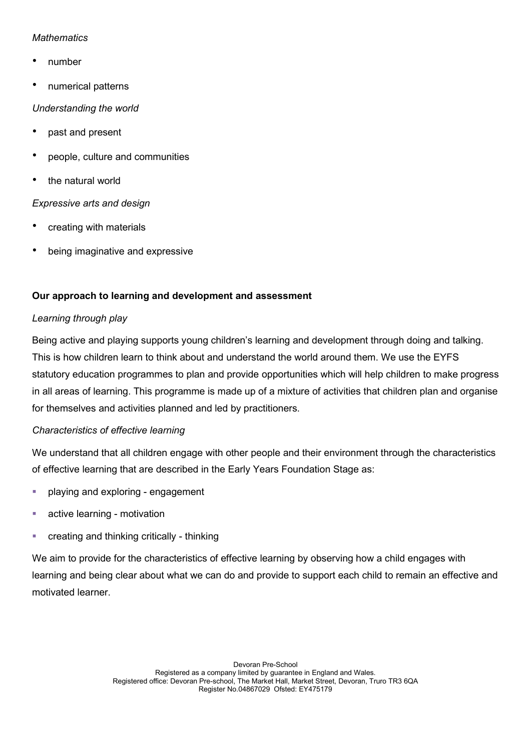### **Mathematics**

- number
- numerical patterns

### Understanding the world

- past and present
- people, culture and communities
- the natural world

# Expressive arts and design

- creating with materials
- being imaginative and expressive

# Our approach to learning and development and assessment

# Learning through play

Being active and playing supports young children's learning and development through doing and talking. This is how children learn to think about and understand the world around them. We use the EYFS statutory education programmes to plan and provide opportunities which will help children to make progress in all areas of learning. This programme is made up of a mixture of activities that children plan and organise for themselves and activities planned and led by practitioners.

# Characteristics of effective learning

We understand that all children engage with other people and their environment through the characteristics of effective learning that are described in the Early Years Foundation Stage as:

- **•** playing and exploring engagement
- **active learning motivation**
- **•** creating and thinking critically thinking

We aim to provide for the characteristics of effective learning by observing how a child engages with learning and being clear about what we can do and provide to support each child to remain an effective and motivated learner.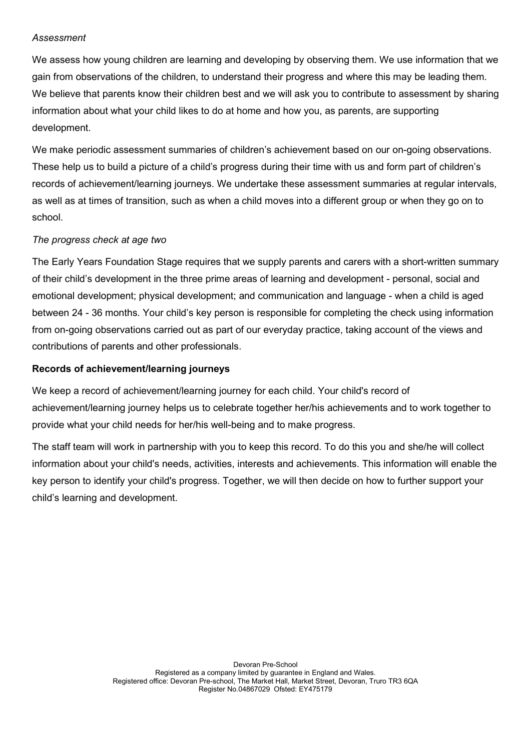#### Assessment

We assess how young children are learning and developing by observing them. We use information that we gain from observations of the children, to understand their progress and where this may be leading them. We believe that parents know their children best and we will ask you to contribute to assessment by sharing information about what your child likes to do at home and how you, as parents, are supporting development.

We make periodic assessment summaries of children's achievement based on our on-going observations. These help us to build a picture of a child's progress during their time with us and form part of children's records of achievement/learning journeys. We undertake these assessment summaries at regular intervals, as well as at times of transition, such as when a child moves into a different group or when they go on to school.

# The progress check at age two

The Early Years Foundation Stage requires that we supply parents and carers with a short-written summary of their child's development in the three prime areas of learning and development - personal, social and emotional development; physical development; and communication and language - when a child is aged between 24 - 36 months. Your child's key person is responsible for completing the check using information from on-going observations carried out as part of our everyday practice, taking account of the views and contributions of parents and other professionals.

### Records of achievement/learning journeys

We keep a record of achievement/learning journey for each child. Your child's record of achievement/learning journey helps us to celebrate together her/his achievements and to work together to provide what your child needs for her/his well-being and to make progress.

The staff team will work in partnership with you to keep this record. To do this you and she/he will collect information about your child's needs, activities, interests and achievements. This information will enable the key person to identify your child's progress. Together, we will then decide on how to further support your child's learning and development.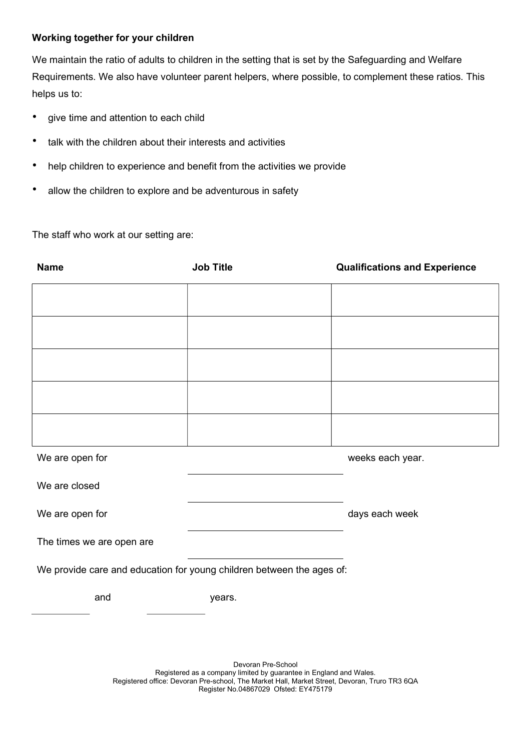#### Working together for your children

We maintain the ratio of adults to children in the setting that is set by the Safeguarding and Welfare Requirements. We also have volunteer parent helpers, where possible, to complement these ratios. This helps us to:

- give time and attention to each child
- talk with the children about their interests and activities
- help children to experience and benefit from the activities we provide
- allow the children to explore and be adventurous in safety

The staff who work at our setting are:

| <b>Name</b>                                                           | <b>Job Title</b> | <b>Qualifications and Experience</b> |
|-----------------------------------------------------------------------|------------------|--------------------------------------|
|                                                                       |                  |                                      |
|                                                                       |                  |                                      |
|                                                                       |                  |                                      |
|                                                                       |                  |                                      |
|                                                                       |                  |                                      |
|                                                                       |                  |                                      |
| We are open for                                                       |                  | weeks each year.                     |
| We are closed                                                         |                  |                                      |
| We are open for                                                       |                  | days each week                       |
| The times we are open are                                             |                  |                                      |
| We provide care and education for young children between the ages of: |                  |                                      |
| and                                                                   | years.           |                                      |
|                                                                       |                  |                                      |

Devoran Pre-School Registered as a company limited by guarantee in England and Wales. Registered office: Devoran Pre-school, The Market Hall, Market Street, Devoran, Truro TR3 6QA Register No.04867029 Ofsted: EY475179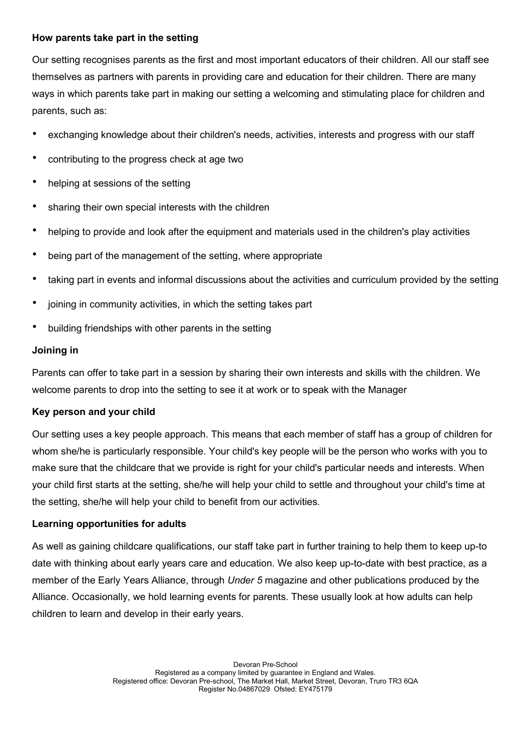#### How parents take part in the setting

Our setting recognises parents as the first and most important educators of their children. All our staff see themselves as partners with parents in providing care and education for their children. There are many ways in which parents take part in making our setting a welcoming and stimulating place for children and parents, such as:

- exchanging knowledge about their children's needs, activities, interests and progress with our staff
- contributing to the progress check at age two
- helping at sessions of the setting
- sharing their own special interests with the children
- helping to provide and look after the equipment and materials used in the children's play activities
- being part of the management of the setting, where appropriate
- taking part in events and informal discussions about the activities and curriculum provided by the setting
- joining in community activities, in which the setting takes part
- building friendships with other parents in the setting

### Joining in

Parents can offer to take part in a session by sharing their own interests and skills with the children. We welcome parents to drop into the setting to see it at work or to speak with the Manager

#### Key person and your child

Our setting uses a key people approach. This means that each member of staff has a group of children for whom she/he is particularly responsible. Your child's key people will be the person who works with you to make sure that the childcare that we provide is right for your child's particular needs and interests. When your child first starts at the setting, she/he will help your child to settle and throughout your child's time at the setting, she/he will help your child to benefit from our activities.

#### Learning opportunities for adults

As well as gaining childcare qualifications, our staff take part in further training to help them to keep up-to date with thinking about early years care and education. We also keep up-to-date with best practice, as a member of the Early Years Alliance, through Under 5 magazine and other publications produced by the Alliance. Occasionally, we hold learning events for parents. These usually look at how adults can help children to learn and develop in their early years.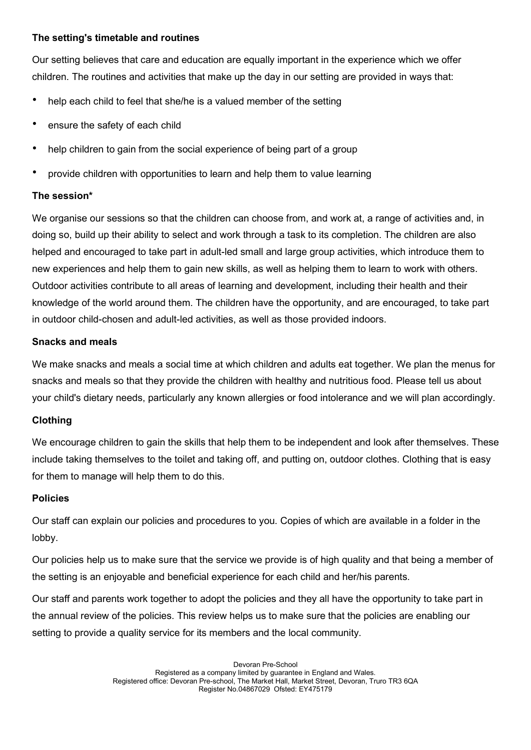### The setting's timetable and routines

Our setting believes that care and education are equally important in the experience which we offer children. The routines and activities that make up the day in our setting are provided in ways that:

- help each child to feel that she/he is a valued member of the setting
- ensure the safety of each child
- help children to gain from the social experience of being part of a group
- provide children with opportunities to learn and help them to value learning

### The session\*

We organise our sessions so that the children can choose from, and work at, a range of activities and, in doing so, build up their ability to select and work through a task to its completion. The children are also helped and encouraged to take part in adult-led small and large group activities, which introduce them to new experiences and help them to gain new skills, as well as helping them to learn to work with others. Outdoor activities contribute to all areas of learning and development, including their health and their knowledge of the world around them. The children have the opportunity, and are encouraged, to take part in outdoor child-chosen and adult-led activities, as well as those provided indoors.

### Snacks and meals

We make snacks and meals a social time at which children and adults eat together. We plan the menus for snacks and meals so that they provide the children with healthy and nutritious food. Please tell us about your child's dietary needs, particularly any known allergies or food intolerance and we will plan accordingly.

# Clothing

We encourage children to gain the skills that help them to be independent and look after themselves. These include taking themselves to the toilet and taking off, and putting on, outdoor clothes. Clothing that is easy for them to manage will help them to do this.

#### Policies

Our staff can explain our policies and procedures to you. Copies of which are available in a folder in the lobby.

Our policies help us to make sure that the service we provide is of high quality and that being a member of the setting is an enjoyable and beneficial experience for each child and her/his parents.

Our staff and parents work together to adopt the policies and they all have the opportunity to take part in the annual review of the policies. This review helps us to make sure that the policies are enabling our setting to provide a quality service for its members and the local community.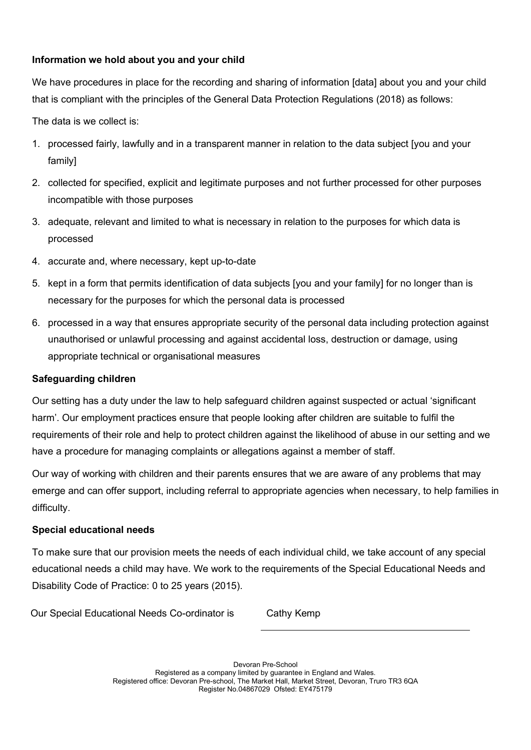# Information we hold about you and your child

We have procedures in place for the recording and sharing of information [data] about you and your child that is compliant with the principles of the General Data Protection Regulations (2018) as follows:

The data is we collect is:

- 1. processed fairly, lawfully and in a transparent manner in relation to the data subject [you and your family]
- 2. collected for specified, explicit and legitimate purposes and not further processed for other purposes incompatible with those purposes
- 3. adequate, relevant and limited to what is necessary in relation to the purposes for which data is processed
- 4. accurate and, where necessary, kept up-to-date
- 5. kept in a form that permits identification of data subjects [you and your family] for no longer than is necessary for the purposes for which the personal data is processed
- 6. processed in a way that ensures appropriate security of the personal data including protection against unauthorised or unlawful processing and against accidental loss, destruction or damage, using appropriate technical or organisational measures

# Safeguarding children

Our setting has a duty under the law to help safeguard children against suspected or actual 'significant harm'. Our employment practices ensure that people looking after children are suitable to fulfil the requirements of their role and help to protect children against the likelihood of abuse in our setting and we have a procedure for managing complaints or allegations against a member of staff.

Our way of working with children and their parents ensures that we are aware of any problems that may emerge and can offer support, including referral to appropriate agencies when necessary, to help families in difficulty.

# Special educational needs

To make sure that our provision meets the needs of each individual child, we take account of any special educational needs a child may have. We work to the requirements of the Special Educational Needs and Disability Code of Practice: 0 to 25 years (2015).

Our Special Educational Needs Co-ordinator is Cathy Kemp